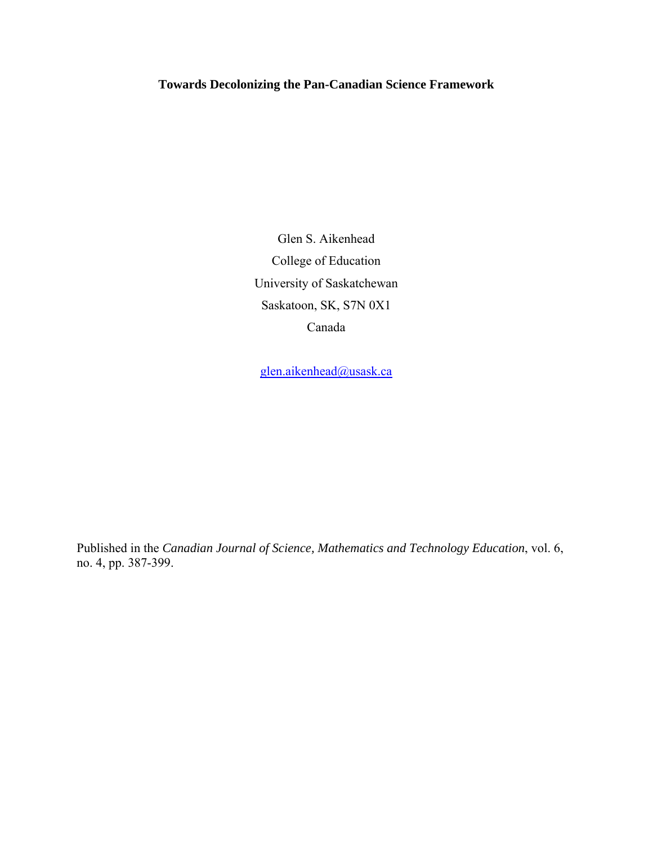**Towards Decolonizing the Pan-Canadian Science Framework** 

Glen S. Aikenhead College of Education University of Saskatchewan Saskatoon, SK, S7N 0X1 Canada

glen.aikenhead@usask.ca

Published in the *Canadian Journal of Science, Mathematics and Technology Education*, vol. 6, no. 4, pp. 387-399.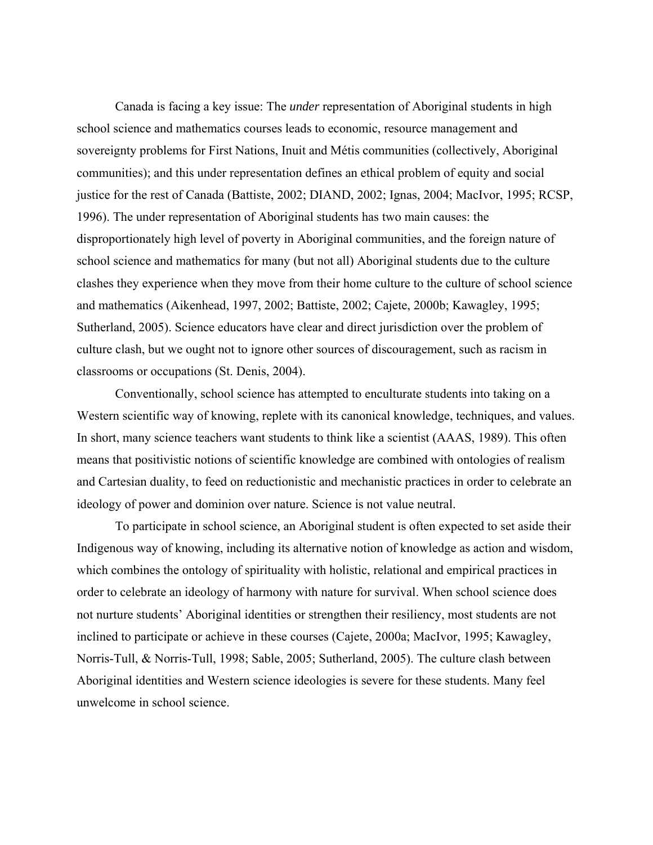Canada is facing a key issue: The *under* representation of Aboriginal students in high school science and mathematics courses leads to economic, resource management and sovereignty problems for First Nations, Inuit and Métis communities (collectively, Aboriginal communities); and this under representation defines an ethical problem of equity and social justice for the rest of Canada (Battiste, 2002; DIAND, 2002; Ignas, 2004; MacIvor, 1995; RCSP, 1996). The under representation of Aboriginal students has two main causes: the disproportionately high level of poverty in Aboriginal communities, and the foreign nature of school science and mathematics for many (but not all) Aboriginal students due to the culture clashes they experience when they move from their home culture to the culture of school science and mathematics (Aikenhead, 1997, 2002; Battiste, 2002; Cajete, 2000b; Kawagley, 1995; Sutherland, 2005). Science educators have clear and direct jurisdiction over the problem of culture clash, but we ought not to ignore other sources of discouragement, such as racism in classrooms or occupations (St. Denis, 2004).

 Conventionally, school science has attempted to enculturate students into taking on a Western scientific way of knowing, replete with its canonical knowledge, techniques, and values. In short, many science teachers want students to think like a scientist (AAAS, 1989). This often means that positivistic notions of scientific knowledge are combined with ontologies of realism and Cartesian duality, to feed on reductionistic and mechanistic practices in order to celebrate an ideology of power and dominion over nature. Science is not value neutral.

 To participate in school science, an Aboriginal student is often expected to set aside their Indigenous way of knowing, including its alternative notion of knowledge as action and wisdom, which combines the ontology of spirituality with holistic, relational and empirical practices in order to celebrate an ideology of harmony with nature for survival. When school science does not nurture students' Aboriginal identities or strengthen their resiliency, most students are not inclined to participate or achieve in these courses (Cajete, 2000a; MacIvor, 1995; Kawagley, Norris-Tull, & Norris-Tull, 1998; Sable, 2005; Sutherland, 2005). The culture clash between Aboriginal identities and Western science ideologies is severe for these students. Many feel unwelcome in school science.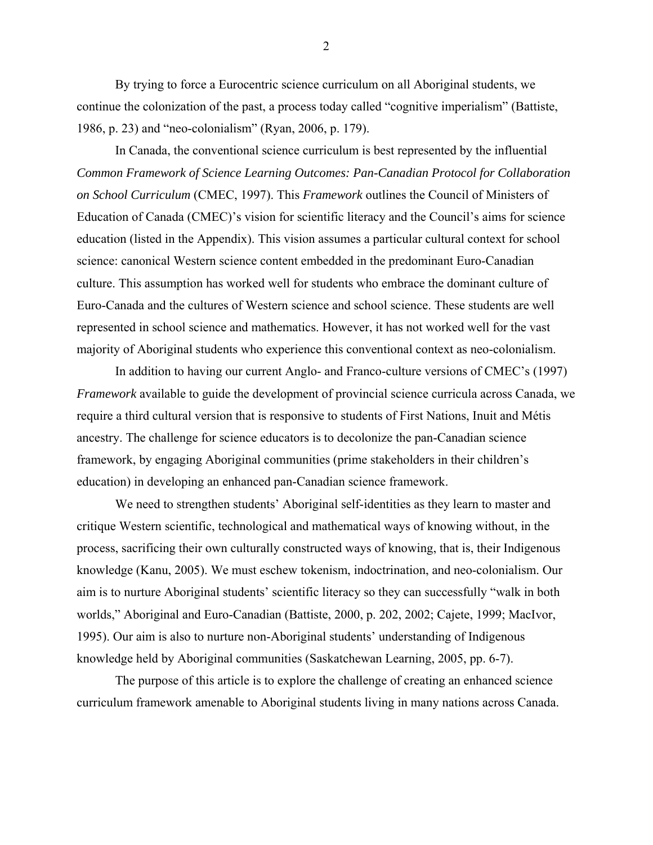By trying to force a Eurocentric science curriculum on all Aboriginal students, we continue the colonization of the past, a process today called "cognitive imperialism" (Battiste, 1986, p. 23) and "neo-colonialism" (Ryan, 2006, p. 179).

 In Canada, the conventional science curriculum is best represented by the influential *Common Framework of Science Learning Outcomes: Pan-Canadian Protocol for Collaboration on School Curriculum* (CMEC, 1997). This *Framework* outlines the Council of Ministers of Education of Canada (CMEC)'s vision for scientific literacy and the Council's aims for science education (listed in the Appendix). This vision assumes a particular cultural context for school science: canonical Western science content embedded in the predominant Euro-Canadian culture. This assumption has worked well for students who embrace the dominant culture of Euro-Canada and the cultures of Western science and school science. These students are well represented in school science and mathematics. However, it has not worked well for the vast majority of Aboriginal students who experience this conventional context as neo-colonialism.

 In addition to having our current Anglo- and Franco-culture versions of CMEC's (1997) *Framework* available to guide the development of provincial science curricula across Canada, we require a third cultural version that is responsive to students of First Nations, Inuit and Métis ancestry. The challenge for science educators is to decolonize the pan-Canadian science framework, by engaging Aboriginal communities (prime stakeholders in their children's education) in developing an enhanced pan-Canadian science framework.

 We need to strengthen students' Aboriginal self-identities as they learn to master and critique Western scientific, technological and mathematical ways of knowing without, in the process, sacrificing their own culturally constructed ways of knowing, that is, their Indigenous knowledge (Kanu, 2005). We must eschew tokenism, indoctrination, and neo-colonialism. Our aim is to nurture Aboriginal students' scientific literacy so they can successfully "walk in both worlds," Aboriginal and Euro-Canadian (Battiste, 2000, p. 202, 2002; Cajete, 1999; MacIvor, 1995). Our aim is also to nurture non-Aboriginal students' understanding of Indigenous knowledge held by Aboriginal communities (Saskatchewan Learning, 2005, pp. 6-7).

 The purpose of this article is to explore the challenge of creating an enhanced science curriculum framework amenable to Aboriginal students living in many nations across Canada.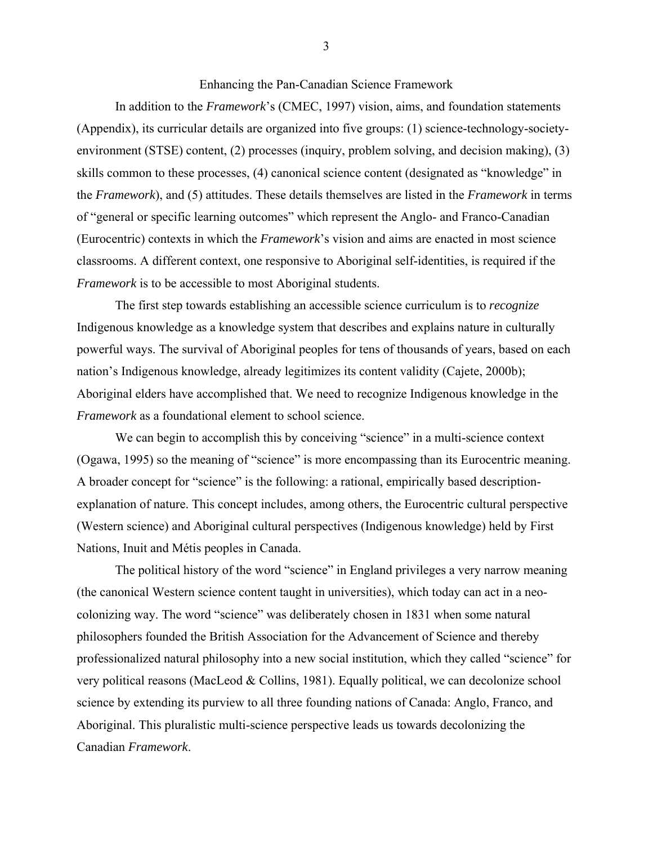Enhancing the Pan-Canadian Science Framework

In addition to the *Framework*'s (CMEC, 1997) vision, aims, and foundation statements (Appendix), its curricular details are organized into five groups: (1) science-technology-societyenvironment (STSE) content, (2) processes (inquiry, problem solving, and decision making), (3) skills common to these processes, (4) canonical science content (designated as "knowledge" in the *Framework*), and (5) attitudes. These details themselves are listed in the *Framework* in terms of "general or specific learning outcomes" which represent the Anglo- and Franco-Canadian (Eurocentric) contexts in which the *Framework*'s vision and aims are enacted in most science classrooms. A different context, one responsive to Aboriginal self-identities, is required if the *Framework* is to be accessible to most Aboriginal students.

 The first step towards establishing an accessible science curriculum is to *recognize* Indigenous knowledge as a knowledge system that describes and explains nature in culturally powerful ways. The survival of Aboriginal peoples for tens of thousands of years, based on each nation's Indigenous knowledge, already legitimizes its content validity (Cajete, 2000b); Aboriginal elders have accomplished that. We need to recognize Indigenous knowledge in the *Framework* as a foundational element to school science.

We can begin to accomplish this by conceiving "science" in a multi-science context (Ogawa, 1995) so the meaning of "science" is more encompassing than its Eurocentric meaning. A broader concept for "science" is the following: a rational, empirically based descriptionexplanation of nature. This concept includes, among others, the Eurocentric cultural perspective (Western science) and Aboriginal cultural perspectives (Indigenous knowledge) held by First Nations, Inuit and Métis peoples in Canada.

 The political history of the word "science" in England privileges a very narrow meaning (the canonical Western science content taught in universities), which today can act in a neocolonizing way. The word "science" was deliberately chosen in 1831 when some natural philosophers founded the British Association for the Advancement of Science and thereby professionalized natural philosophy into a new social institution, which they called "science" for very political reasons (MacLeod & Collins, 1981). Equally political, we can decolonize school science by extending its purview to all three founding nations of Canada: Anglo, Franco, and Aboriginal. This pluralistic multi-science perspective leads us towards decolonizing the Canadian *Framework*.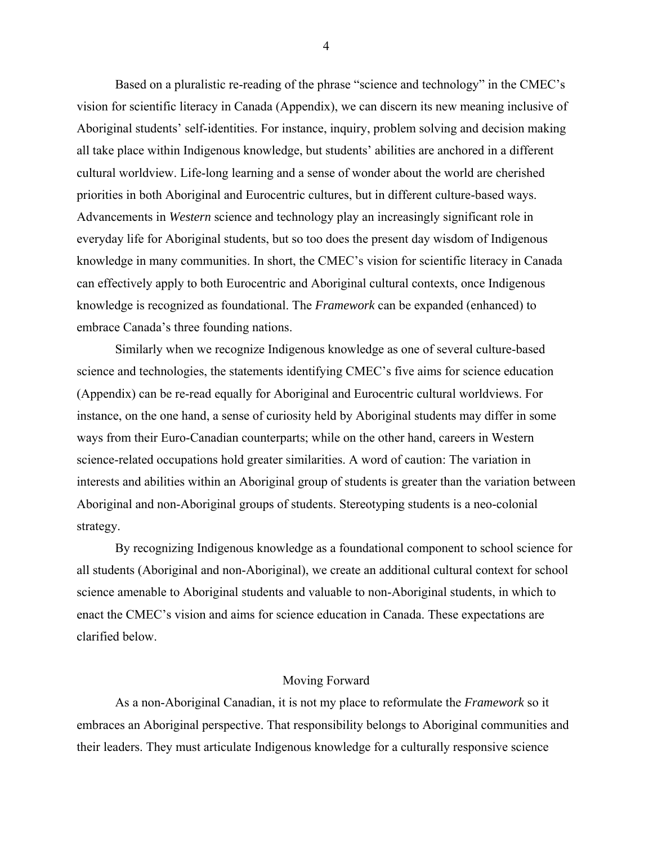Based on a pluralistic re-reading of the phrase "science and technology" in the CMEC's vision for scientific literacy in Canada (Appendix), we can discern its new meaning inclusive of Aboriginal students' self-identities. For instance, inquiry, problem solving and decision making all take place within Indigenous knowledge, but students' abilities are anchored in a different cultural worldview. Life-long learning and a sense of wonder about the world are cherished priorities in both Aboriginal and Eurocentric cultures, but in different culture-based ways. Advancements in *Western* science and technology play an increasingly significant role in everyday life for Aboriginal students, but so too does the present day wisdom of Indigenous knowledge in many communities. In short, the CMEC's vision for scientific literacy in Canada can effectively apply to both Eurocentric and Aboriginal cultural contexts, once Indigenous knowledge is recognized as foundational. The *Framework* can be expanded (enhanced) to embrace Canada's three founding nations.

 Similarly when we recognize Indigenous knowledge as one of several culture-based science and technologies, the statements identifying CMEC's five aims for science education (Appendix) can be re-read equally for Aboriginal and Eurocentric cultural worldviews. For instance, on the one hand, a sense of curiosity held by Aboriginal students may differ in some ways from their Euro-Canadian counterparts; while on the other hand, careers in Western science-related occupations hold greater similarities. A word of caution: The variation in interests and abilities within an Aboriginal group of students is greater than the variation between Aboriginal and non-Aboriginal groups of students. Stereotyping students is a neo-colonial strategy.

 By recognizing Indigenous knowledge as a foundational component to school science for all students (Aboriginal and non-Aboriginal), we create an additional cultural context for school science amenable to Aboriginal students and valuable to non-Aboriginal students, in which to enact the CMEC's vision and aims for science education in Canada. These expectations are clarified below.

### Moving Forward

 As a non-Aboriginal Canadian, it is not my place to reformulate the *Framework* so it embraces an Aboriginal perspective. That responsibility belongs to Aboriginal communities and their leaders. They must articulate Indigenous knowledge for a culturally responsive science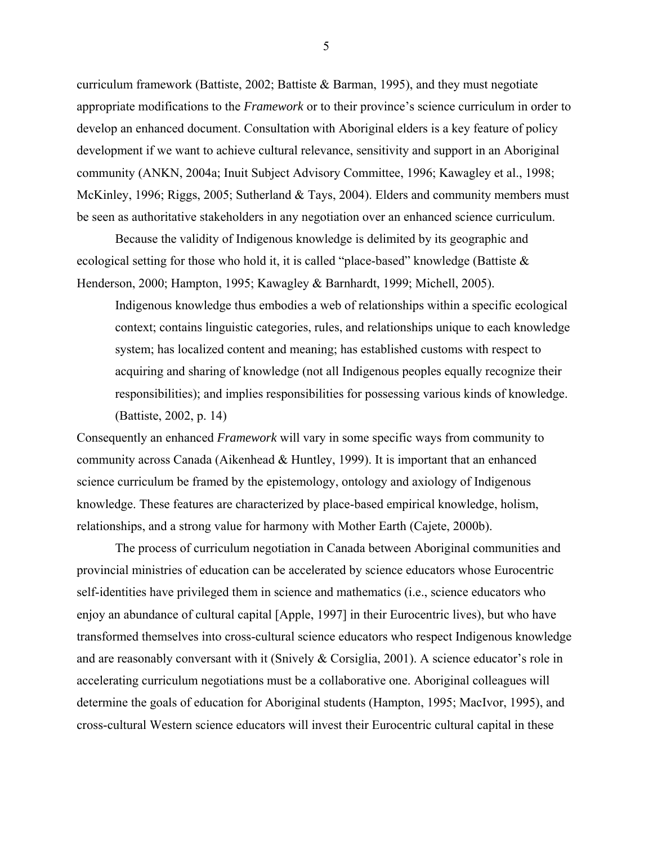curriculum framework (Battiste, 2002; Battiste & Barman, 1995), and they must negotiate appropriate modifications to the *Framework* or to their province's science curriculum in order to develop an enhanced document. Consultation with Aboriginal elders is a key feature of policy development if we want to achieve cultural relevance, sensitivity and support in an Aboriginal community (ANKN, 2004a; Inuit Subject Advisory Committee, 1996; Kawagley et al., 1998; McKinley, 1996; Riggs, 2005; Sutherland & Tays, 2004). Elders and community members must be seen as authoritative stakeholders in any negotiation over an enhanced science curriculum.

 Because the validity of Indigenous knowledge is delimited by its geographic and ecological setting for those who hold it, it is called "place-based" knowledge (Battiste & Henderson, 2000; Hampton, 1995; Kawagley & Barnhardt, 1999; Michell, 2005).

Indigenous knowledge thus embodies a web of relationships within a specific ecological context; contains linguistic categories, rules, and relationships unique to each knowledge system; has localized content and meaning; has established customs with respect to acquiring and sharing of knowledge (not all Indigenous peoples equally recognize their responsibilities); and implies responsibilities for possessing various kinds of knowledge. (Battiste, 2002, p. 14)

Consequently an enhanced *Framework* will vary in some specific ways from community to community across Canada (Aikenhead & Huntley, 1999). It is important that an enhanced science curriculum be framed by the epistemology, ontology and axiology of Indigenous knowledge. These features are characterized by place-based empirical knowledge, holism, relationships, and a strong value for harmony with Mother Earth (Cajete, 2000b).

 The process of curriculum negotiation in Canada between Aboriginal communities and provincial ministries of education can be accelerated by science educators whose Eurocentric self-identities have privileged them in science and mathematics (i.e., science educators who enjoy an abundance of cultural capital [Apple, 1997] in their Eurocentric lives), but who have transformed themselves into cross-cultural science educators who respect Indigenous knowledge and are reasonably conversant with it (Snively & Corsiglia, 2001). A science educator's role in accelerating curriculum negotiations must be a collaborative one. Aboriginal colleagues will determine the goals of education for Aboriginal students (Hampton, 1995; MacIvor, 1995), and cross-cultural Western science educators will invest their Eurocentric cultural capital in these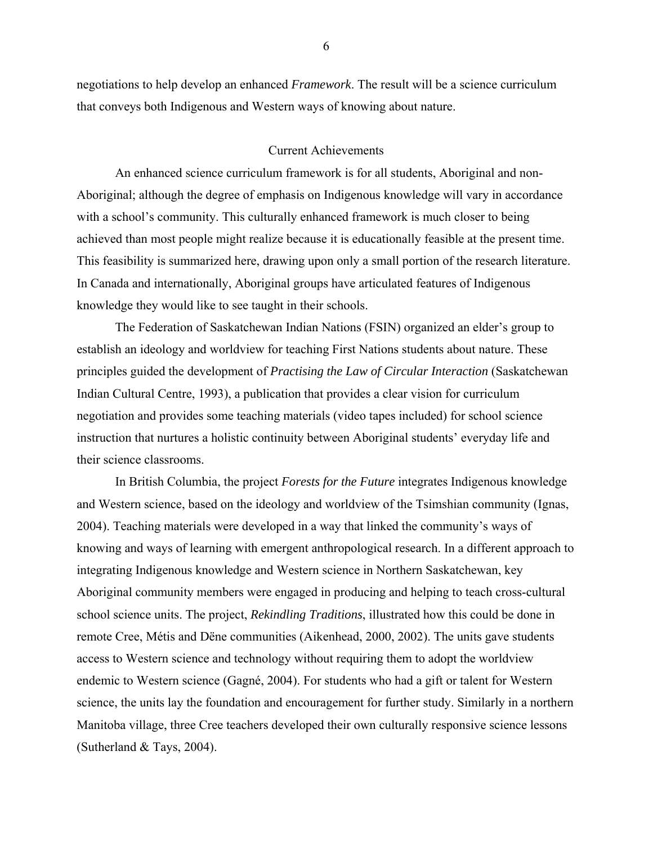negotiations to help develop an enhanced *Framework*. The result will be a science curriculum that conveys both Indigenous and Western ways of knowing about nature.

### Current Achievements

 An enhanced science curriculum framework is for all students, Aboriginal and non-Aboriginal; although the degree of emphasis on Indigenous knowledge will vary in accordance with a school's community. This culturally enhanced framework is much closer to being achieved than most people might realize because it is educationally feasible at the present time. This feasibility is summarized here, drawing upon only a small portion of the research literature. In Canada and internationally, Aboriginal groups have articulated features of Indigenous knowledge they would like to see taught in their schools.

 The Federation of Saskatchewan Indian Nations (FSIN) organized an elder's group to establish an ideology and worldview for teaching First Nations students about nature. These principles guided the development of *Practising the Law of Circular Interaction* (Saskatchewan Indian Cultural Centre, 1993), a publication that provides a clear vision for curriculum negotiation and provides some teaching materials (video tapes included) for school science instruction that nurtures a holistic continuity between Aboriginal students' everyday life and their science classrooms.

 In British Columbia, the project *Forests for the Future* integrates Indigenous knowledge and Western science, based on the ideology and worldview of the Tsimshian community (Ignas, 2004). Teaching materials were developed in a way that linked the community's ways of knowing and ways of learning with emergent anthropological research. In a different approach to integrating Indigenous knowledge and Western science in Northern Saskatchewan, key Aboriginal community members were engaged in producing and helping to teach cross-cultural school science units. The project, *Rekindling Traditions*, illustrated how this could be done in remote Cree, Métis and Dëne communities (Aikenhead, 2000, 2002). The units gave students access to Western science and technology without requiring them to adopt the worldview endemic to Western science (Gagné, 2004). For students who had a gift or talent for Western science, the units lay the foundation and encouragement for further study. Similarly in a northern Manitoba village, three Cree teachers developed their own culturally responsive science lessons (Sutherland & Tays, 2004).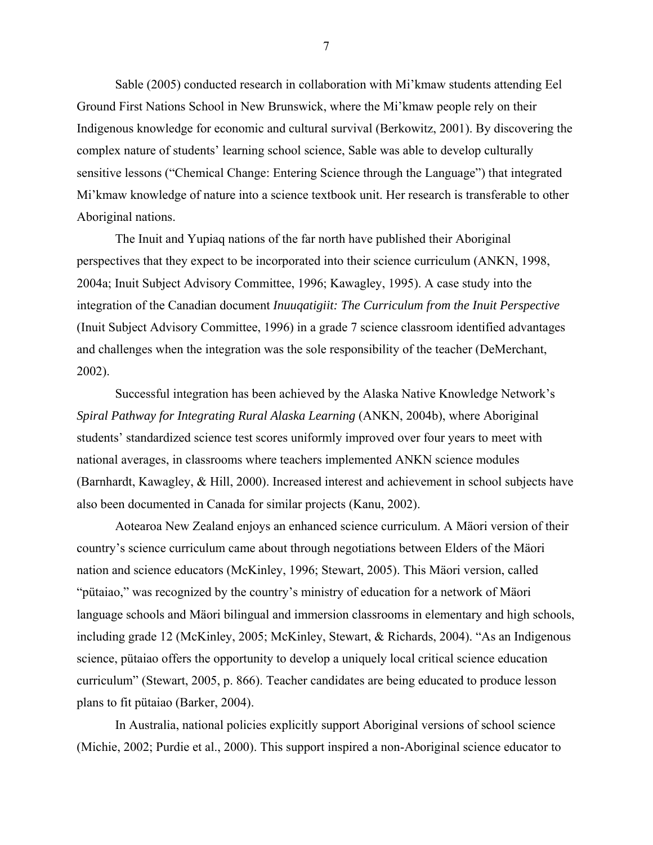Sable (2005) conducted research in collaboration with Mi'kmaw students attending Eel Ground First Nations School in New Brunswick, where the Mi'kmaw people rely on their Indigenous knowledge for economic and cultural survival (Berkowitz, 2001). By discovering the complex nature of students' learning school science, Sable was able to develop culturally sensitive lessons ("Chemical Change: Entering Science through the Language") that integrated Mi'kmaw knowledge of nature into a science textbook unit. Her research is transferable to other Aboriginal nations.

 The Inuit and Yupiaq nations of the far north have published their Aboriginal perspectives that they expect to be incorporated into their science curriculum (ANKN, 1998, 2004a; Inuit Subject Advisory Committee, 1996; Kawagley, 1995). A case study into the integration of the Canadian document *Inuuqatigiit: The Curriculum from the Inuit Perspective* (Inuit Subject Advisory Committee, 1996) in a grade 7 science classroom identified advantages and challenges when the integration was the sole responsibility of the teacher (DeMerchant, 2002).

 Successful integration has been achieved by the Alaska Native Knowledge Network's *Spiral Pathway for Integrating Rural Alaska Learning* (ANKN, 2004b), where Aboriginal students' standardized science test scores uniformly improved over four years to meet with national averages, in classrooms where teachers implemented ANKN science modules (Barnhardt, Kawagley, & Hill, 2000). Increased interest and achievement in school subjects have also been documented in Canada for similar projects (Kanu, 2002).

 Aotearoa New Zealand enjoys an enhanced science curriculum. A Mäori version of their country's science curriculum came about through negotiations between Elders of the Mäori nation and science educators (McKinley, 1996; Stewart, 2005). This Mäori version, called "pütaiao," was recognized by the country's ministry of education for a network of Mäori language schools and Mäori bilingual and immersion classrooms in elementary and high schools, including grade 12 (McKinley, 2005; McKinley, Stewart, & Richards, 2004). "As an Indigenous science, pütaiao offers the opportunity to develop a uniquely local critical science education curriculum" (Stewart, 2005, p. 866). Teacher candidates are being educated to produce lesson plans to fit pütaiao (Barker, 2004).

 In Australia, national policies explicitly support Aboriginal versions of school science (Michie, 2002; Purdie et al., 2000). This support inspired a non-Aboriginal science educator to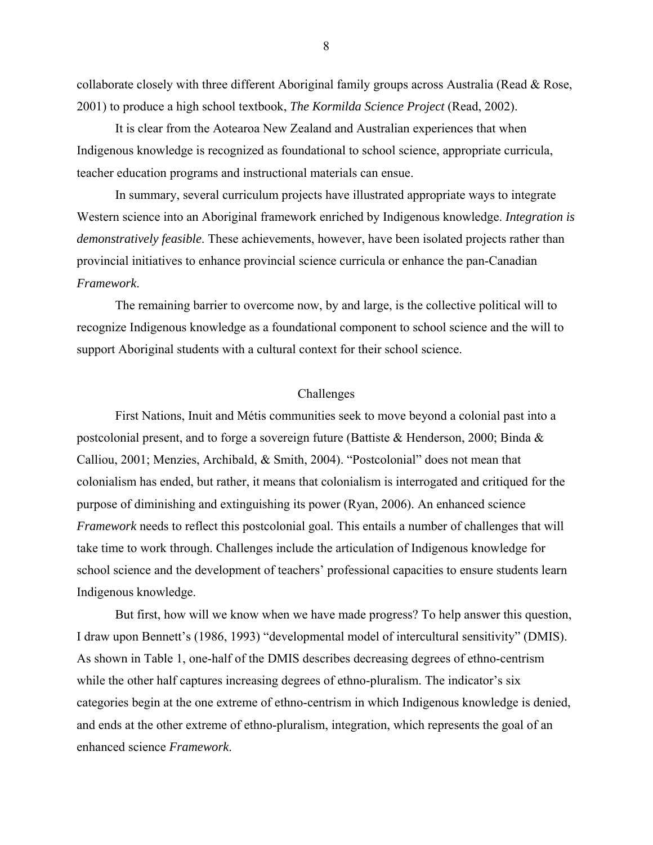collaborate closely with three different Aboriginal family groups across Australia (Read & Rose, 2001) to produce a high school textbook, *The Kormilda Science Project* (Read, 2002).

 It is clear from the Aotearoa New Zealand and Australian experiences that when Indigenous knowledge is recognized as foundational to school science, appropriate curricula, teacher education programs and instructional materials can ensue.

 In summary, several curriculum projects have illustrated appropriate ways to integrate Western science into an Aboriginal framework enriched by Indigenous knowledge. *Integration is demonstratively feasible*. These achievements, however, have been isolated projects rather than provincial initiatives to enhance provincial science curricula or enhance the pan-Canadian *Framework*.

 The remaining barrier to overcome now, by and large, is the collective political will to recognize Indigenous knowledge as a foundational component to school science and the will to support Aboriginal students with a cultural context for their school science.

#### Challenges

 First Nations, Inuit and Métis communities seek to move beyond a colonial past into a postcolonial present, and to forge a sovereign future (Battiste & Henderson, 2000; Binda & Calliou, 2001; Menzies, Archibald, & Smith, 2004). "Postcolonial" does not mean that colonialism has ended, but rather, it means that colonialism is interrogated and critiqued for the purpose of diminishing and extinguishing its power (Ryan, 2006). An enhanced science *Framework* needs to reflect this postcolonial goal. This entails a number of challenges that will take time to work through. Challenges include the articulation of Indigenous knowledge for school science and the development of teachers' professional capacities to ensure students learn Indigenous knowledge.

 But first, how will we know when we have made progress? To help answer this question, I draw upon Bennett's (1986, 1993) "developmental model of intercultural sensitivity" (DMIS). As shown in Table 1, one-half of the DMIS describes decreasing degrees of ethno-centrism while the other half captures increasing degrees of ethno-pluralism. The indicator's six categories begin at the one extreme of ethno-centrism in which Indigenous knowledge is denied, and ends at the other extreme of ethno-pluralism, integration, which represents the goal of an enhanced science *Framework*.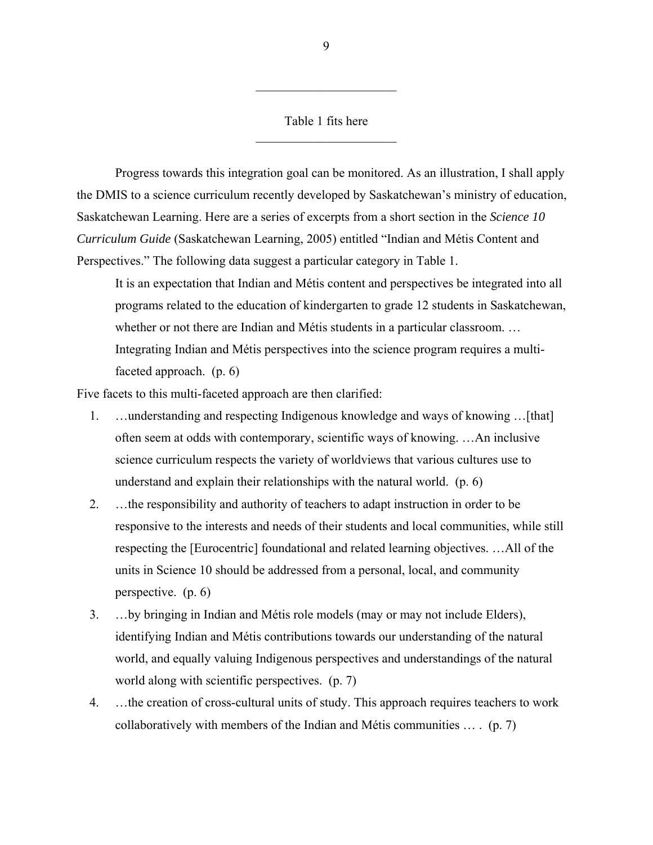## Table 1 fits here  $\mathcal{L}_\text{max}$  , where  $\mathcal{L}_\text{max}$  , we have the set of  $\mathcal{L}_\text{max}$

 $\mathcal{L}_\text{max}$  , where  $\mathcal{L}_\text{max}$  , we have the set of  $\mathcal{L}_\text{max}$ 

 Progress towards this integration goal can be monitored. As an illustration, I shall apply the DMIS to a science curriculum recently developed by Saskatchewan's ministry of education, Saskatchewan Learning. Here are a series of excerpts from a short section in the *Science 10 Curriculum Guide* (Saskatchewan Learning, 2005) entitled "Indian and Métis Content and Perspectives." The following data suggest a particular category in Table 1.

It is an expectation that Indian and Métis content and perspectives be integrated into all programs related to the education of kindergarten to grade 12 students in Saskatchewan, whether or not there are Indian and Métis students in a particular classroom... Integrating Indian and Métis perspectives into the science program requires a multifaceted approach. (p. 6)

Five facets to this multi-faceted approach are then clarified:

- 1. …understanding and respecting Indigenous knowledge and ways of knowing …[that] often seem at odds with contemporary, scientific ways of knowing. …An inclusive science curriculum respects the variety of worldviews that various cultures use to understand and explain their relationships with the natural world. (p. 6)
- 2. …the responsibility and authority of teachers to adapt instruction in order to be responsive to the interests and needs of their students and local communities, while still respecting the [Eurocentric] foundational and related learning objectives. …All of the units in Science 10 should be addressed from a personal, local, and community perspective. (p. 6)
- 3. …by bringing in Indian and Métis role models (may or may not include Elders), identifying Indian and Métis contributions towards our understanding of the natural world, and equally valuing Indigenous perspectives and understandings of the natural world along with scientific perspectives. (p. 7)
- 4. …the creation of cross-cultural units of study. This approach requires teachers to work collaboratively with members of the Indian and Métis communities … . (p. 7)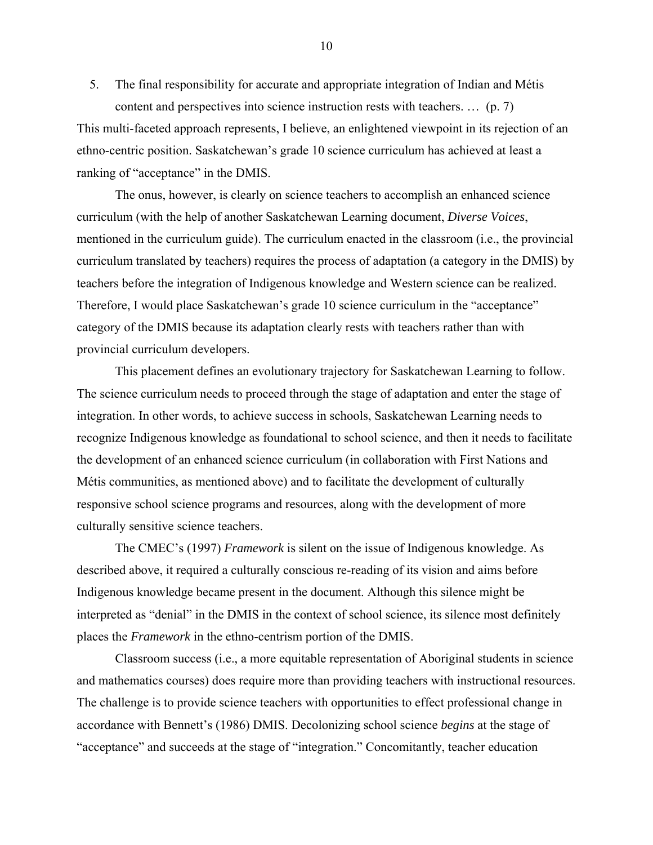5. The final responsibility for accurate and appropriate integration of Indian and Métis content and perspectives into science instruction rests with teachers. … (p. 7)

This multi-faceted approach represents, I believe, an enlightened viewpoint in its rejection of an ethno-centric position. Saskatchewan's grade 10 science curriculum has achieved at least a ranking of "acceptance" in the DMIS.

 The onus, however, is clearly on science teachers to accomplish an enhanced science curriculum (with the help of another Saskatchewan Learning document, *Diverse Voices*, mentioned in the curriculum guide). The curriculum enacted in the classroom (i.e., the provincial curriculum translated by teachers) requires the process of adaptation (a category in the DMIS) by teachers before the integration of Indigenous knowledge and Western science can be realized. Therefore, I would place Saskatchewan's grade 10 science curriculum in the "acceptance" category of the DMIS because its adaptation clearly rests with teachers rather than with provincial curriculum developers.

 This placement defines an evolutionary trajectory for Saskatchewan Learning to follow. The science curriculum needs to proceed through the stage of adaptation and enter the stage of integration. In other words, to achieve success in schools, Saskatchewan Learning needs to recognize Indigenous knowledge as foundational to school science, and then it needs to facilitate the development of an enhanced science curriculum (in collaboration with First Nations and Métis communities, as mentioned above) and to facilitate the development of culturally responsive school science programs and resources, along with the development of more culturally sensitive science teachers.

 The CMEC's (1997) *Framework* is silent on the issue of Indigenous knowledge. As described above, it required a culturally conscious re-reading of its vision and aims before Indigenous knowledge became present in the document. Although this silence might be interpreted as "denial" in the DMIS in the context of school science, its silence most definitely places the *Framework* in the ethno-centrism portion of the DMIS.

 Classroom success (i.e., a more equitable representation of Aboriginal students in science and mathematics courses) does require more than providing teachers with instructional resources. The challenge is to provide science teachers with opportunities to effect professional change in accordance with Bennett's (1986) DMIS. Decolonizing school science *begins* at the stage of "acceptance" and succeeds at the stage of "integration." Concomitantly, teacher education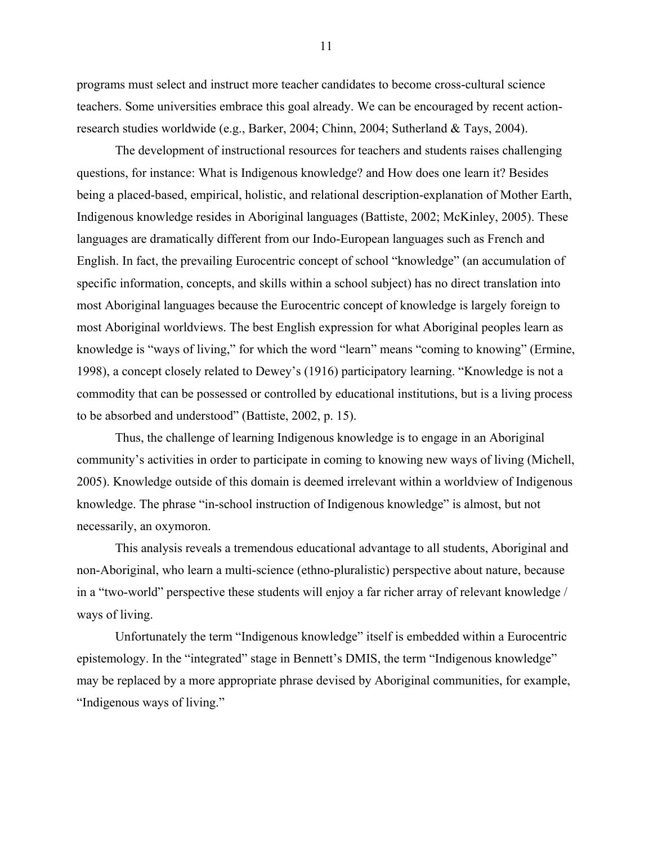programs must select and instruct more teacher candidates to become cross-cultural science teachers. Some universities embrace this goal already. We can be encouraged by recent actionresearch studies worldwide (e.g., Barker, 2004; Chinn, 2004; Sutherland & Tays, 2004).

 The development of instructional resources for teachers and students raises challenging questions, for instance: What is Indigenous knowledge? and How does one learn it? Besides being a placed-based, empirical, holistic, and relational description-explanation of Mother Earth, Indigenous knowledge resides in Aboriginal languages (Battiste, 2002; McKinley, 2005). These languages are dramatically different from our Indo-European languages such as French and English. In fact, the prevailing Eurocentric concept of school "knowledge" (an accumulation of specific information, concepts, and skills within a school subject) has no direct translation into most Aboriginal languages because the Eurocentric concept of knowledge is largely foreign to most Aboriginal worldviews. The best English expression for what Aboriginal peoples learn as knowledge is "ways of living," for which the word "learn" means "coming to knowing" (Ermine, 1998), a concept closely related to Dewey's (1916) participatory learning. "Knowledge is not a commodity that can be possessed or controlled by educational institutions, but is a living process to be absorbed and understood" (Battiste, 2002, p. 15).

 Thus, the challenge of learning Indigenous knowledge is to engage in an Aboriginal community's activities in order to participate in coming to knowing new ways of living (Michell, 2005). Knowledge outside of this domain is deemed irrelevant within a worldview of Indigenous knowledge. The phrase "in-school instruction of Indigenous knowledge" is almost, but not necessarily, an oxymoron.

 This analysis reveals a tremendous educational advantage to all students, Aboriginal and non-Aboriginal, who learn a multi-science (ethno-pluralistic) perspective about nature, because in a "two-world" perspective these students will enjoy a far richer array of relevant knowledge / ways of living.

 Unfortunately the term "Indigenous knowledge" itself is embedded within a Eurocentric epistemology. In the "integrated" stage in Bennett's DMIS, the term "Indigenous knowledge" may be replaced by a more appropriate phrase devised by Aboriginal communities, for example, "Indigenous ways of living."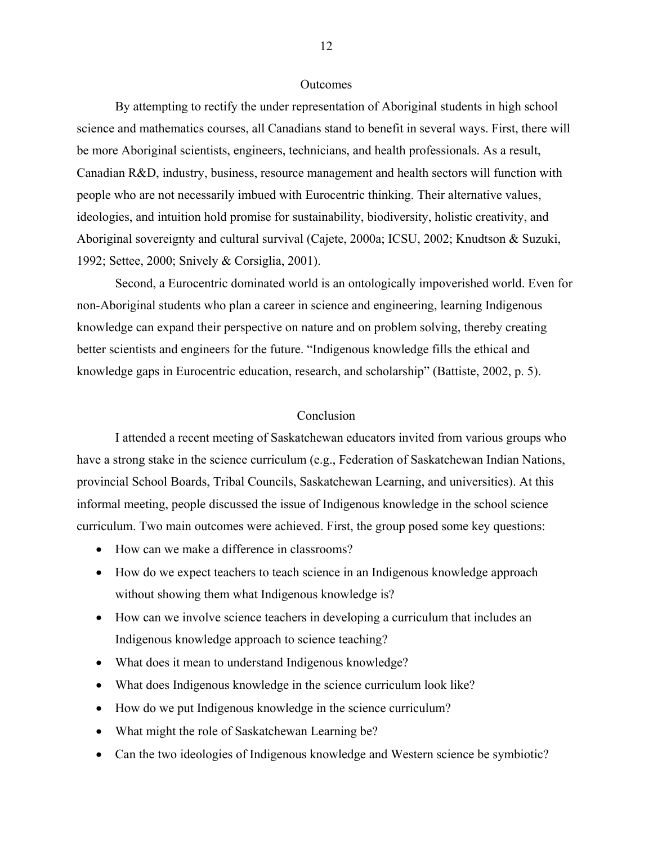### **Outcomes**

 By attempting to rectify the under representation of Aboriginal students in high school science and mathematics courses, all Canadians stand to benefit in several ways. First, there will be more Aboriginal scientists, engineers, technicians, and health professionals. As a result, Canadian R&D, industry, business, resource management and health sectors will function with people who are not necessarily imbued with Eurocentric thinking. Their alternative values, ideologies, and intuition hold promise for sustainability, biodiversity, holistic creativity, and Aboriginal sovereignty and cultural survival (Cajete, 2000a; ICSU, 2002; Knudtson & Suzuki, 1992; Settee, 2000; Snively & Corsiglia, 2001).

 Second, a Eurocentric dominated world is an ontologically impoverished world. Even for non-Aboriginal students who plan a career in science and engineering, learning Indigenous knowledge can expand their perspective on nature and on problem solving, thereby creating better scientists and engineers for the future. "Indigenous knowledge fills the ethical and knowledge gaps in Eurocentric education, research, and scholarship" (Battiste, 2002, p. 5).

## Conclusion

 I attended a recent meeting of Saskatchewan educators invited from various groups who have a strong stake in the science curriculum (e.g., Federation of Saskatchewan Indian Nations, provincial School Boards, Tribal Councils, Saskatchewan Learning, and universities). At this informal meeting, people discussed the issue of Indigenous knowledge in the school science curriculum. Two main outcomes were achieved. First, the group posed some key questions:

- How can we make a difference in classrooms?
- How do we expect teachers to teach science in an Indigenous knowledge approach without showing them what Indigenous knowledge is?
- How can we involve science teachers in developing a curriculum that includes an Indigenous knowledge approach to science teaching?
- What does it mean to understand Indigenous knowledge?
- What does Indigenous knowledge in the science curriculum look like?
- How do we put Indigenous knowledge in the science curriculum?
- What might the role of Saskatchewan Learning be?
- Can the two ideologies of Indigenous knowledge and Western science be symbiotic?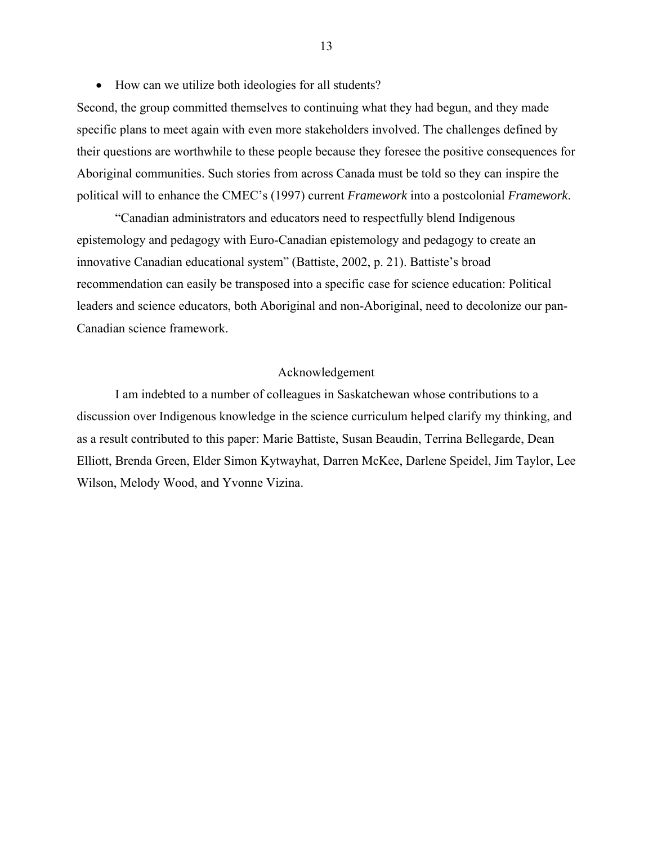• How can we utilize both ideologies for all students?

Second, the group committed themselves to continuing what they had begun, and they made specific plans to meet again with even more stakeholders involved. The challenges defined by their questions are worthwhile to these people because they foresee the positive consequences for Aboriginal communities. Such stories from across Canada must be told so they can inspire the political will to enhance the CMEC's (1997) current *Framework* into a postcolonial *Framework*.

 "Canadian administrators and educators need to respectfully blend Indigenous epistemology and pedagogy with Euro-Canadian epistemology and pedagogy to create an innovative Canadian educational system" (Battiste, 2002, p. 21). Battiste's broad recommendation can easily be transposed into a specific case for science education: Political leaders and science educators, both Aboriginal and non-Aboriginal, need to decolonize our pan-Canadian science framework.

### Acknowledgement

 I am indebted to a number of colleagues in Saskatchewan whose contributions to a discussion over Indigenous knowledge in the science curriculum helped clarify my thinking, and as a result contributed to this paper: Marie Battiste, Susan Beaudin, Terrina Bellegarde, Dean Elliott, Brenda Green, Elder Simon Kytwayhat, Darren McKee, Darlene Speidel, Jim Taylor, Lee Wilson, Melody Wood, and Yvonne Vizina.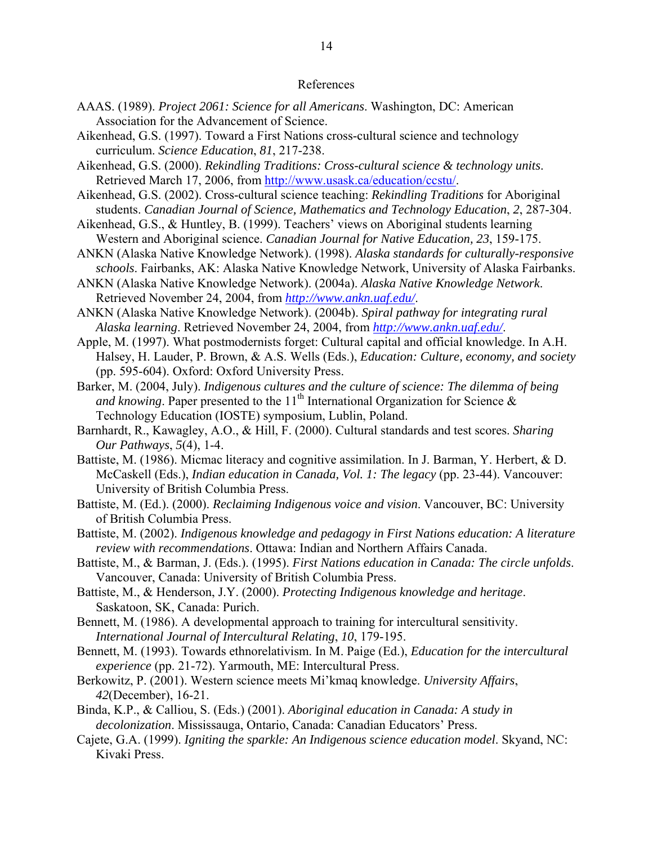#### References

- AAAS. (1989). *Project 2061: Science for all Americans*. Washington, DC: American Association for the Advancement of Science.
- Aikenhead, G.S. (1997). Toward a First Nations cross-cultural science and technology curriculum. *Science Education*, *81*, 217-238.
- Aikenhead, G.S. (2000). *Rekindling Traditions: Cross-cultural science & technology units*. Retrieved March 17, 2006, from http://www.usask.ca/education/ccstu/.
- Aikenhead, G.S. (2002). Cross-cultural science teaching: *Rekindling Traditions* for Aboriginal students. *Canadian Journal of Science, Mathematics and Technology Education*, *2*, 287-304.
- Aikenhead, G.S., & Huntley, B. (1999). Teachers' views on Aboriginal students learning Western and Aboriginal science. *Canadian Journal for Native Education, 23*, 159-175.
- ANKN (Alaska Native Knowledge Network). (1998). *Alaska standards for culturally-responsive schools*. Fairbanks, AK: Alaska Native Knowledge Network, University of Alaska Fairbanks.
- ANKN (Alaska Native Knowledge Network). (2004a). *Alaska Native Knowledge Network*. Retrieved November 24, 2004, from *http://www.ankn.uaf.edu/*.
- ANKN (Alaska Native Knowledge Network). (2004b). *Spiral pathway for integrating rural Alaska learning*. Retrieved November 24, 2004, from *http://www.ankn.uaf.edu/*.
- Apple, M. (1997). What postmodernists forget: Cultural capital and official knowledge. In A.H. Halsey, H. Lauder, P. Brown, & A.S. Wells (Eds.), *Education: Culture, economy, and society* (pp. 595-604). Oxford: Oxford University Press.
- Barker, M. (2004, July). *Indigenous cultures and the culture of science: The dilemma of being and knowing*. Paper presented to the  $11<sup>th</sup>$  International Organization for Science  $\&$ Technology Education (IOSTE) symposium, Lublin, Poland.
- Barnhardt, R., Kawagley, A.O., & Hill, F. (2000). Cultural standards and test scores. *Sharing Our Pathways*, *5*(4), 1-4.
- Battiste, M. (1986). Micmac literacy and cognitive assimilation. In J. Barman, Y. Herbert, & D. McCaskell (Eds.), *Indian education in Canada, Vol. 1: The legacy* (pp. 23-44). Vancouver: University of British Columbia Press.
- Battiste, M. (Ed.). (2000). *Reclaiming Indigenous voice and vision*. Vancouver, BC: University of British Columbia Press.
- Battiste, M. (2002). *Indigenous knowledge and pedagogy in First Nations education: A literature review with recommendations*. Ottawa: Indian and Northern Affairs Canada.
- Battiste, M., & Barman, J. (Eds.). (1995). *First Nations education in Canada: The circle unfolds*. Vancouver, Canada: University of British Columbia Press.
- Battiste, M., & Henderson, J.Y. (2000). *Protecting Indigenous knowledge and heritage*. Saskatoon, SK, Canada: Purich.
- Bennett, M. (1986). A developmental approach to training for intercultural sensitivity. *International Journal of Intercultural Relating*, *10*, 179-195.
- Bennett, M. (1993). Towards ethnorelativism. In M. Paige (Ed.), *Education for the intercultural experience* (pp. 21-72). Yarmouth, ME: Intercultural Press.
- Berkowitz, P. (2001). Western science meets Mi'kmaq knowledge. *University Affairs*, *42*(December), 16-21.
- Binda, K.P., & Calliou, S. (Eds.) (2001). *Aboriginal education in Canada: A study in decolonization*. Mississauga, Ontario, Canada: Canadian Educators' Press.
- Cajete, G.A. (1999). *Igniting the sparkle: An Indigenous science education model*. Skyand, NC: Kivaki Press.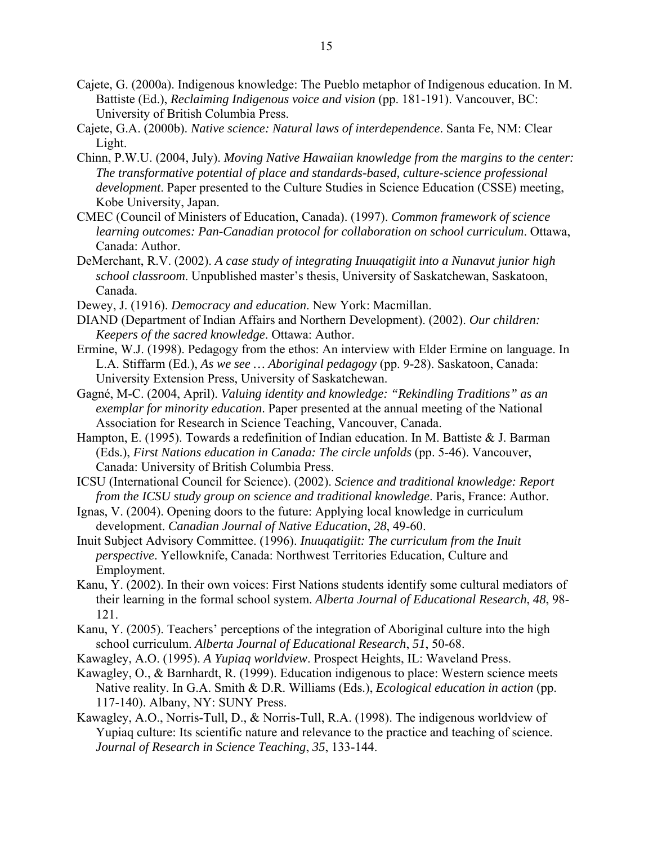- Cajete, G. (2000a). Indigenous knowledge: The Pueblo metaphor of Indigenous education. In M. Battiste (Ed.), *Reclaiming Indigenous voice and vision* (pp. 181-191). Vancouver, BC: University of British Columbia Press.
- Cajete, G.A. (2000b). *Native science: Natural laws of interdependence*. Santa Fe, NM: Clear Light.
- Chinn, P.W.U. (2004, July). *Moving Native Hawaiian knowledge from the margins to the center: The transformative potential of place and standards-based, culture-science professional development*. Paper presented to the Culture Studies in Science Education (CSSE) meeting, Kobe University, Japan.
- CMEC (Council of Ministers of Education, Canada). (1997). *Common framework of science learning outcomes: Pan-Canadian protocol for collaboration on school curriculum*. Ottawa, Canada: Author.
- DeMerchant, R.V. (2002). *A case study of integrating Inuuqatigiit into a Nunavut junior high school classroom*. Unpublished master's thesis, University of Saskatchewan, Saskatoon, Canada.
- Dewey, J. (1916). *Democracy and education*. New York: Macmillan.
- DIAND (Department of Indian Affairs and Northern Development). (2002). *Our children: Keepers of the sacred knowledge*. Ottawa: Author.
- Ermine, W.J. (1998). Pedagogy from the ethos: An interview with Elder Ermine on language. In L.A. Stiffarm (Ed.), *As we see … Aboriginal pedagogy* (pp. 9-28). Saskatoon, Canada: University Extension Press, University of Saskatchewan.
- Gagné, M-C. (2004, April). *Valuing identity and knowledge: "Rekindling Traditions" as an exemplar for minority education*. Paper presented at the annual meeting of the National Association for Research in Science Teaching, Vancouver, Canada.
- Hampton, E. (1995). Towards a redefinition of Indian education. In M. Battiste & J. Barman (Eds.), *First Nations education in Canada: The circle unfolds* (pp. 5-46). Vancouver, Canada: University of British Columbia Press.
- ICSU (International Council for Science). (2002). *Science and traditional knowledge: Report from the ICSU study group on science and traditional knowledge*. Paris, France: Author.
- Ignas, V. (2004). Opening doors to the future: Applying local knowledge in curriculum development. *Canadian Journal of Native Education*, *28*, 49-60.
- Inuit Subject Advisory Committee. (1996). *Inuuqatigiit: The curriculum from the Inuit perspective*. Yellowknife, Canada: Northwest Territories Education, Culture and Employment.
- Kanu, Y. (2002). In their own voices: First Nations students identify some cultural mediators of their learning in the formal school system. *Alberta Journal of Educational Research*, *48*, 98- 121.
- Kanu, Y. (2005). Teachers' perceptions of the integration of Aboriginal culture into the high school curriculum. *Alberta Journal of Educational Research*, *51*, 50-68.
- Kawagley, A.O. (1995). *A Yupiaq worldview*. Prospect Heights, IL: Waveland Press.
- Kawagley, O., & Barnhardt, R. (1999). Education indigenous to place: Western science meets Native reality. In G.A. Smith & D.R. Williams (Eds.), *Ecological education in action* (pp. 117-140). Albany, NY: SUNY Press.
- Kawagley, A.O., Norris-Tull, D., & Norris-Tull, R.A. (1998). The indigenous worldview of Yupiaq culture: Its scientific nature and relevance to the practice and teaching of science. *Journal of Research in Science Teaching*, *35*, 133-144.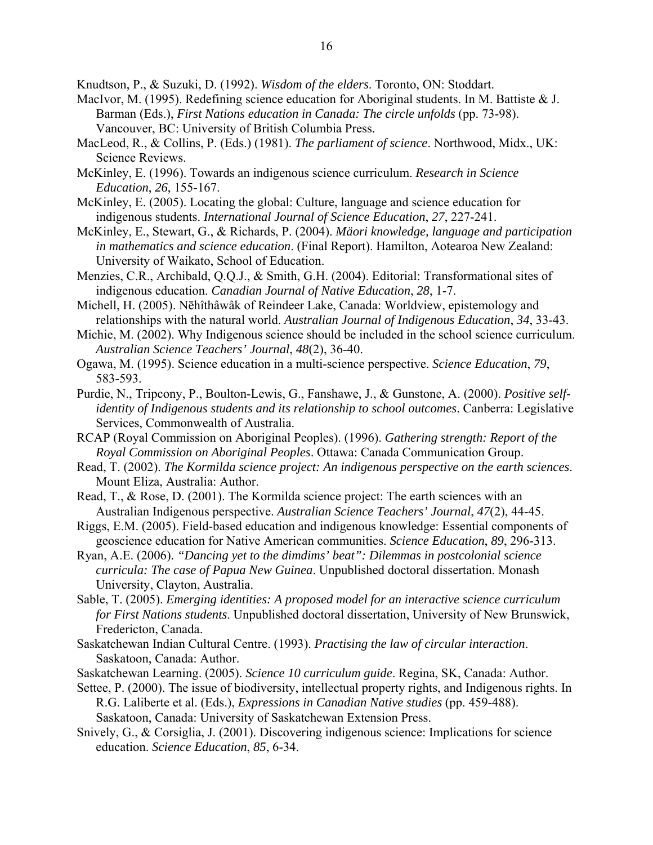Knudtson, P., & Suzuki, D. (1992). *Wisdom of the elders*. Toronto, ON: Stoddart.

- MacIvor, M. (1995). Redefining science education for Aboriginal students. In M. Battiste & J. Barman (Eds.), *First Nations education in Canada: The circle unfolds* (pp. 73-98). Vancouver, BC: University of British Columbia Press.
- MacLeod, R., & Collins, P. (Eds.) (1981). *The parliament of science*. Northwood, Midx., UK: Science Reviews.
- McKinley, E. (1996). Towards an indigenous science curriculum. *Research in Science Education*, *26*, 155-167.
- McKinley, E. (2005). Locating the global: Culture, language and science education for indigenous students. *International Journal of Science Education*, *27*, 227-241.
- McKinley, E., Stewart, G., & Richards, P. (2004). *Mäori knowledge, language and participation in mathematics and science education*. (Final Report). Hamilton, Aotearoa New Zealand: University of Waikato, School of Education.
- Menzies, C.R., Archibald, Q.Q.J., & Smith, G.H. (2004). Editorial: Transformational sites of indigenous education. *Canadian Journal of Native Education*, *28*, 1-7.
- Michell, H. (2005). Nēhîthâwâk of Reindeer Lake, Canada: Worldview, epistemology and relationships with the natural world. *Australian Journal of Indigenous Education*, *34*, 33-43.
- Michie, M. (2002). Why Indigenous science should be included in the school science curriculum. *Australian Science Teachers' Journal*, *48*(2), 36-40.
- Ogawa, M. (1995). Science education in a multi-science perspective. *Science Education*, *79*, 583-593.
- Purdie, N., Tripcony, P., Boulton-Lewis, G., Fanshawe, J., & Gunstone, A. (2000). *Positive selfidentity of Indigenous students and its relationship to school outcomes*. Canberra: Legislative Services, Commonwealth of Australia.
- RCAP (Royal Commission on Aboriginal Peoples). (1996). *Gathering strength: Report of the Royal Commission on Aboriginal Peoples*. Ottawa: Canada Communication Group.
- Read, T. (2002). *The Kormilda science project: An indigenous perspective on the earth sciences*. Mount Eliza, Australia: Author.
- Read, T., & Rose, D. (2001). The Kormilda science project: The earth sciences with an Australian Indigenous perspective. *Australian Science Teachers' Journal*, *47*(2), 44-45.
- Riggs, E.M. (2005). Field-based education and indigenous knowledge: Essential components of geoscience education for Native American communities. *Science Education*, *89*, 296-313.
- Ryan, A.E. (2006). *"Dancing yet to the dimdims' beat": Dilemmas in postcolonial science curricula: The case of Papua New Guinea*. Unpublished doctoral dissertation. Monash University, Clayton, Australia.
- Sable, T. (2005). *Emerging identities: A proposed model for an interactive science curriculum for First Nations students*. Unpublished doctoral dissertation, University of New Brunswick, Fredericton, Canada.
- Saskatchewan Indian Cultural Centre. (1993). *Practising the law of circular interaction*. Saskatoon, Canada: Author.
- Saskatchewan Learning. (2005). *Science 10 curriculum guide*. Regina, SK, Canada: Author.
- Settee, P. (2000). The issue of biodiversity, intellectual property rights, and Indigenous rights. In R.G. Laliberte et al. (Eds.), *Expressions in Canadian Native studies* (pp. 459-488).

Saskatoon, Canada: University of Saskatchewan Extension Press.

Snively, G., & Corsiglia, J. (2001). Discovering indigenous science: Implications for science education. *Science Education*, *85*, 6-34.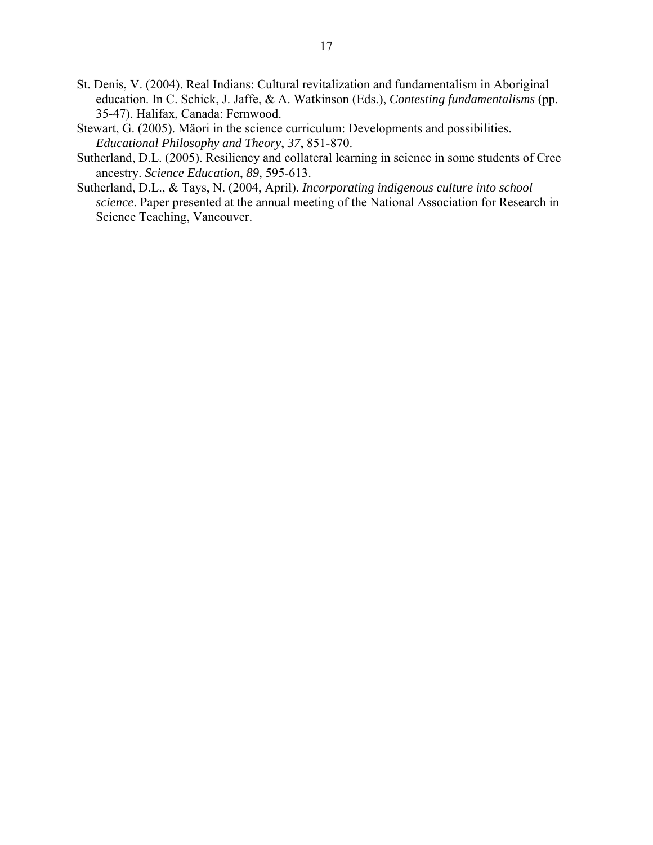- St. Denis, V. (2004). Real Indians: Cultural revitalization and fundamentalism in Aboriginal education. In C. Schick, J. Jaffe, & A. Watkinson (Eds.), *Contesting fundamentalisms* (pp. 35-47). Halifax, Canada: Fernwood.
- Stewart, G. (2005). Mäori in the science curriculum: Developments and possibilities. *Educational Philosophy and Theory*, *37*, 851-870.
- Sutherland, D.L. (2005). Resiliency and collateral learning in science in some students of Cree ancestry. *Science Education*, *89*, 595-613.
- Sutherland, D.L., & Tays, N. (2004, April). *Incorporating indigenous culture into school science*. Paper presented at the annual meeting of the National Association for Research in Science Teaching, Vancouver.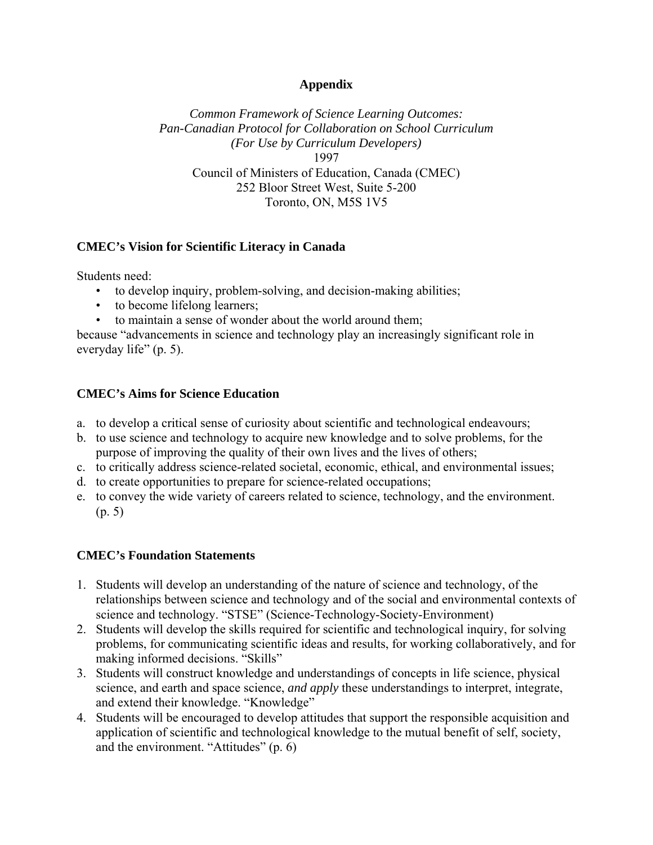# **Appendix**

*Common Framework of Science Learning Outcomes: Pan-Canadian Protocol for Collaboration on School Curriculum (For Use by Curriculum Developers)* 1997 Council of Ministers of Education, Canada (CMEC) 252 Bloor Street West, Suite 5-200 Toronto, ON, M5S 1V5

# **CMEC's Vision for Scientific Literacy in Canada**

Students need:

- to develop inquiry, problem-solving, and decision-making abilities;
- to become lifelong learners;
- to maintain a sense of wonder about the world around them;

because "advancements in science and technology play an increasingly significant role in everyday life" (p. 5).

# **CMEC's Aims for Science Education**

- a. to develop a critical sense of curiosity about scientific and technological endeavours;
- b. to use science and technology to acquire new knowledge and to solve problems, for the purpose of improving the quality of their own lives and the lives of others;
- c. to critically address science-related societal, economic, ethical, and environmental issues;
- d. to create opportunities to prepare for science-related occupations;
- e. to convey the wide variety of careers related to science, technology, and the environment. (p. 5)

# **CMEC's Foundation Statements**

- 1. Students will develop an understanding of the nature of science and technology, of the relationships between science and technology and of the social and environmental contexts of science and technology. "STSE" (Science-Technology-Society-Environment)
- 2. Students will develop the skills required for scientific and technological inquiry, for solving problems, for communicating scientific ideas and results, for working collaboratively, and for making informed decisions. "Skills"
- 3. Students will construct knowledge and understandings of concepts in life science, physical science, and earth and space science, *and apply* these understandings to interpret, integrate, and extend their knowledge. "Knowledge"
- 4. Students will be encouraged to develop attitudes that support the responsible acquisition and application of scientific and technological knowledge to the mutual benefit of self, society, and the environment. "Attitudes" (p. 6)